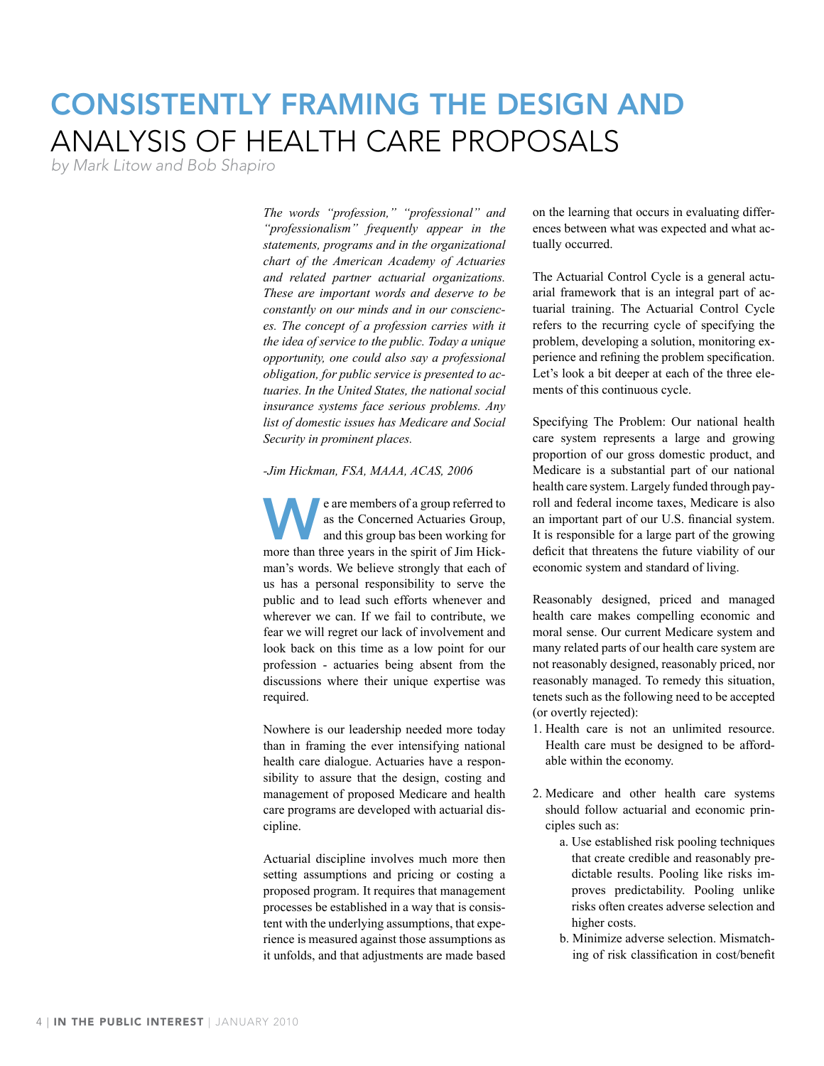# Consistently Framing The Design and Analysis Of Health Care Proposals

*by Mark Litow and Bob Shapiro*

*The words "profession," "professional" and "professionalism" frequently appear in the statements, programs and in the organizational chart of the American Academy of Actuaries and related partner actuarial organizations. These are important words and deserve to be constantly on our minds and in our consciences. The concept of a profession carries with it the idea of service to the public. Today a unique opportunity, one could also say a professional obligation, for public service is presented to actuaries. In the United States, the national social insurance systems face serious problems. Any list of domestic issues has Medicare and Social Security in prominent places.*

#### *-Jim Hickman, FSA, MAAA, ACAS, 2006*

We are members of a group referred to as the Concerned Actuaries Group, and this group bas been working for more than three years in the spirit of Jim Hickman's words. We believe strongly that each of us has a personal responsibility to serve the public and to lead such efforts whenever and wherever we can. If we fail to contribute, we fear we will regret our lack of involvement and look back on this time as a low point for our profession - actuaries being absent from the discussions where their unique expertise was required.

Nowhere is our leadership needed more today than in framing the ever intensifying national health care dialogue. Actuaries have a responsibility to assure that the design, costing and management of proposed Medicare and health care programs are developed with actuarial discipline.

Actuarial discipline involves much more then setting assumptions and pricing or costing a proposed program. It requires that management processes be established in a way that is consistent with the underlying assumptions, that experience is measured against those assumptions as it unfolds, and that adjustments are made based on the learning that occurs in evaluating differences between what was expected and what actually occurred.

The Actuarial Control Cycle is a general actuarial framework that is an integral part of actuarial training. The Actuarial Control Cycle refers to the recurring cycle of specifying the problem, developing a solution, monitoring experience and refining the problem specification. Let's look a bit deeper at each of the three elements of this continuous cycle.

Specifying The Problem: Our national health care system represents a large and growing proportion of our gross domestic product, and Medicare is a substantial part of our national health care system. Largely funded through payroll and federal income taxes, Medicare is also an important part of our U.S. financial system. It is responsible for a large part of the growing deficit that threatens the future viability of our economic system and standard of living.

Reasonably designed, priced and managed health care makes compelling economic and moral sense. Our current Medicare system and many related parts of our health care system are not reasonably designed, reasonably priced, nor reasonably managed. To remedy this situation, tenets such as the following need to be accepted (or overtly rejected):

- 1. Health care is not an unlimited resource. Health care must be designed to be affordable within the economy.
- 2. Medicare and other health care systems should follow actuarial and economic principles such as:
	- a. Use established risk pooling techniques that create credible and reasonably predictable results. Pooling like risks improves predictability. Pooling unlike risks often creates adverse selection and higher costs.
	- b. Minimize adverse selection. Mismatching of risk classification in cost/benefit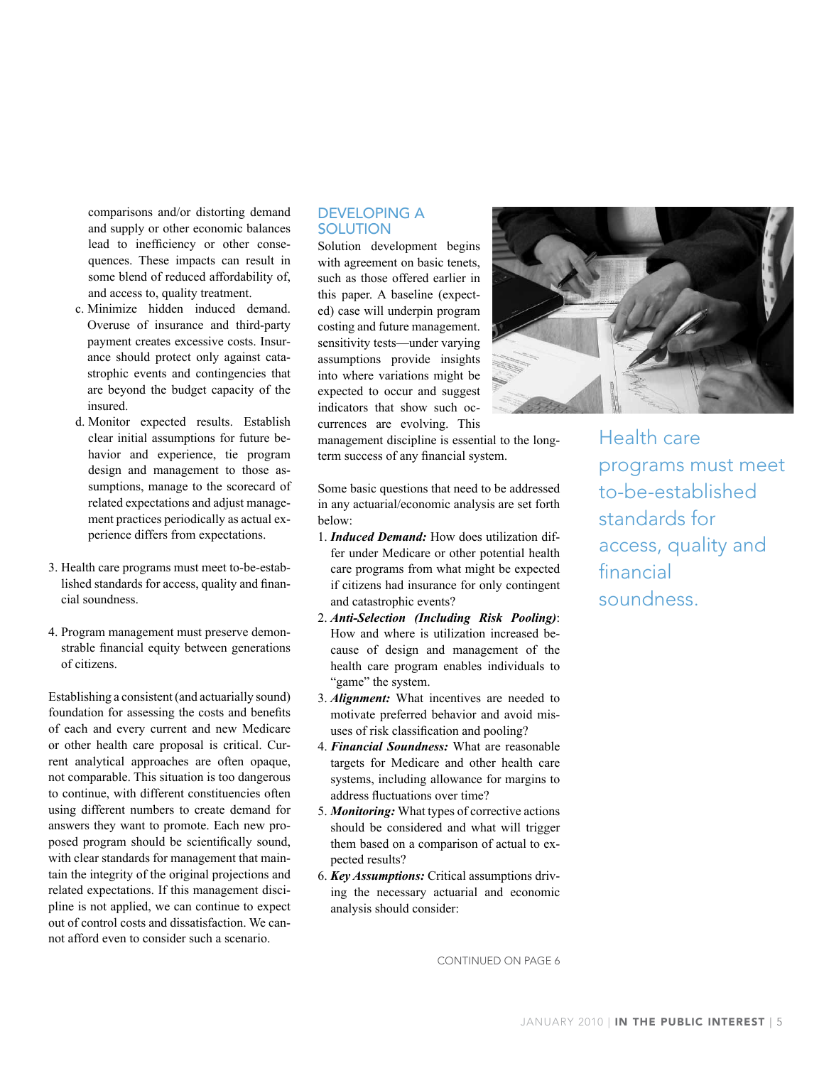comparisons and/or distorting demand and supply or other economic balances lead to inefficiency or other consequences. These impacts can result in some blend of reduced affordability of, and access to, quality treatment.

- c. Minimize hidden induced demand. Overuse of insurance and third-party payment creates excessive costs. Insurance should protect only against catastrophic events and contingencies that are beyond the budget capacity of the insured.
- d. Monitor expected results. Establish clear initial assumptions for future behavior and experience, tie program design and management to those assumptions, manage to the scorecard of related expectations and adjust management practices periodically as actual experience differs from expectations.
- 3. Health care programs must meet to-be-established standards for access, quality and financial soundness.
- 4. Program management must preserve demonstrable financial equity between generations of citizens.

Establishing a consistent (and actuarially sound) foundation for assessing the costs and benefits of each and every current and new Medicare or other health care proposal is critical. Current analytical approaches are often opaque, not comparable. This situation is too dangerous to continue, with different constituencies often using different numbers to create demand for answers they want to promote. Each new proposed program should be scientifically sound, with clear standards for management that maintain the integrity of the original projections and related expectations. If this management discipline is not applied, we can continue to expect out of control costs and dissatisfaction. We cannot afford even to consider such a scenario.

### Developing A **SOLUTION**

Solution development begins with agreement on basic tenets, such as those offered earlier in this paper. A baseline (expected) case will underpin program costing and future management. sensitivity tests—under varying assumptions provide insights into where variations might be expected to occur and suggest indicators that show such occurrences are evolving. This

management discipline is essential to the longterm success of any financial system.

Some basic questions that need to be addressed in any actuarial/economic analysis are set forth below:

- 1. *Induced Demand:* How does utilization differ under Medicare or other potential health care programs from what might be expected if citizens had insurance for only contingent and catastrophic events?
- 2. *Anti-Selection (Including Risk Pooling)*: How and where is utilization increased because of design and management of the health care program enables individuals to "game" the system.
- 3. *Alignment:* What incentives are needed to motivate preferred behavior and avoid misuses of risk classification and pooling?
- 4. *Financial Soundness:* What are reasonable targets for Medicare and other health care systems, including allowance for margins to address fluctuations over time?
- 5. *Monitoring:* What types of corrective actions should be considered and what will trigger them based on a comparison of actual to expected results?
- 6. *Key Assumptions:* Critical assumptions driving the necessary actuarial and economic analysis should consider:



 Health care programs must meet to-be-established standards for access, quality and financial soundness.